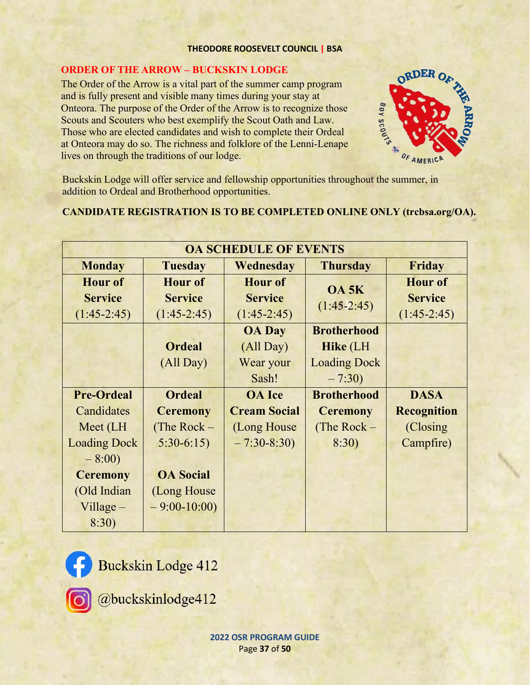### **THEODORE ROOSEVELT COUNCIL | BSA**

## **ORDER OF THE ARROW – BUCKSKIN LODGE**

The Order of the Arrow is a vital part of the summer camp program and is fully present and visible many times during your stay at Onteora. The purpose of the Order of the Arrow is to recognize those Scouts and Scouters who best exemplify the Scout Oath and Law. Those who are elected candidates and wish to complete their Ordeal at Onteora may do so. The richness and folklore of the Lenni-Lenape lives on through the traditions of our lodge.



Buckskin Lodge will offer service and fellowship opportunities throughout the summer, in addition to Ordeal and Brotherhood opportunities.

# **CANDIDATE REGISTRATION IS TO BE COMPLETED ONLINE ONLY (trcbsa.org/OA).**

| <b>OA SCHEDULE OF EVENTS</b> |                  |                     |                     |                    |
|------------------------------|------------------|---------------------|---------------------|--------------------|
| <b>Monday</b>                | <b>Tuesday</b>   | Wednesday           | <b>Thursday</b>     | Friday             |
| <b>Hour of</b>               | <b>Hour of</b>   | <b>Hour of</b>      | <b>OA 5K</b>        | <b>Hour of</b>     |
| <b>Service</b>               | <b>Service</b>   | <b>Service</b>      | $(1:45-2:45)$       | <b>Service</b>     |
| $(1:45-2:45)$                | $(1:45-2:45)$    | $(1:45-2:45)$       |                     | $(1:45-2:45)$      |
|                              |                  | <b>OA</b> Day       | <b>Brotherhood</b>  |                    |
|                              | <b>Ordeal</b>    | (All Day)           | <b>Hike</b> (LH     |                    |
|                              | (All Day)        | Wear your           | <b>Loading Dock</b> |                    |
|                              |                  | Sash!               | $-7:30)$            |                    |
| <b>Pre-Ordeal</b>            | <b>Ordeal</b>    | <b>OA</b> Ice       | <b>Brotherhood</b>  | <b>DASA</b>        |
| Candidates                   | <b>Ceremony</b>  | <b>Cream Social</b> | <b>Ceremony</b>     | <b>Recognition</b> |
| Meet (LH                     | (The Rock $-$    | (Long House)        | (The Rock $-$       | (Closing)          |
| <b>Loading Dock</b>          | $5:30-6:15$      | $-7:30-8:30$        | 8:30)               | Campfire)          |
| $-8:00)$                     |                  |                     |                     |                    |
| <b>Ceremony</b>              | <b>OA Social</b> |                     |                     |                    |
| (Old Indian                  | (Long House)     |                     |                     |                    |
| $V$ illage $-$               | $-9:00-10:00$    |                     |                     |                    |
| 8:30)                        |                  |                     |                     |                    |



Buckskin Lodge 412



@buckskinlodge412

**2022 OSR PROGRAM GUIDE** Page **37** of **50**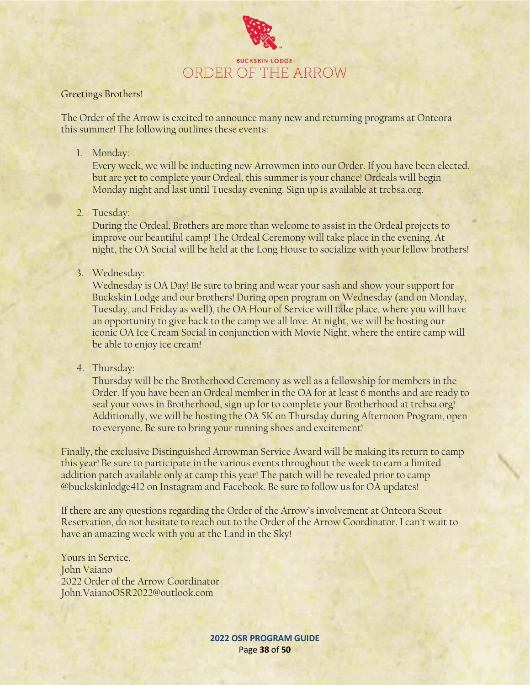

### Greetings Brothers!

The Order of the Arrow is excited to announce many new and returning programs at Onteora this summer! The following outlines these events:

### 1. Monday:

Every week, we will be inducting new Arrowmen into our Order. If you have been elected, but are yet to complete your Ordeal, this summer is your chance! Ordeals will begin Monday night and last until Tuesday evening. Sign up is available at trcbsa.org.

2. Tuesday:

During the Ordeal, Brothers are more than welcome to assist in the Ordeal projects to improve our beautiful camp! The Ordeal Ceremony will take place in the evening. At night, the OA Social will be held at the Long House to socialize with your fellow brothers!

3. Wednesday:

Wednesday is OA Day! Be sure to bring and wear your sash and show your support for Buckskin Lodge and our brothers! During open program on Wednesday (and on Monday, Tuesday, and Friday as well), the OA Hour of Service will take place, where you will have an opportunity to give back to the camp we all love. At night, we will be hosting our iconic OA Ice Cream Social in conjunction with Movie Night, where the entire camp will be able to enjoy ice cream!

4. Thursday:

Thursday will be the Brotherhood Ceremony as well as a fellowship for members in the Order. If you have been an Ordeal member in the OA for at least 6 months and are ready to seal your vows in Brotherhood, sign up for to complete your Brotherhood at trcbsa.org! Additionally, we will be hosting the OA 5K on Thursday during Afternoon Program, open to everyone. Be sure to bring your running shoes and excitement!

Finally, the exclusive Distinguished Arrowman Service Award will be making its return to camp this year! Be sure to participate in the various events throughout the week to earn a limited addition patch available only at camp this year! The patch will be revealed prior to camp @buckskinlodge412 on Instagram and Facebook. Be sure to follow us for OA updates!

If there are any questions regarding the Order of the Arrow's involvement at Onteora Scout Reservation, do not hesitate to reach out to the Order of the Arrow Coordinator. I can't wait to have an amazing week with you at the Land in the Sky!

Yours in Service, John Vaiano 2022 Order of the Arrow Coordinator John.VaianoOSR2022@outlook.com

> **2022 OSR PROGRAM GUIDE** Page **38** of **50**